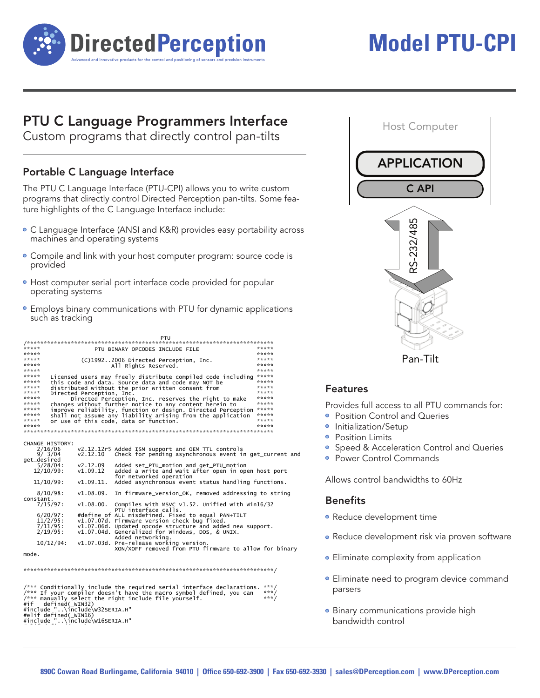

# **Model PTU-CPI**

### **PTU C Language Programmers Interface**

Custom programs that directly control pan-tilts

#### Portable C Language Interface

The PTU C Language Interface (PTU-CPI) allows you to write custom programs that directly control Directed Perception pan-tilts. Some feature highlights of the C Language Interface include:

- C Language Interface (ANSI and K&R) provides easy portability across machines and operating systems
- Compile and link with your host computer program: source code is provided
- · Host computer serial port interface code provided for popular operating systems
- Employs binary communications with PTU for dynamic applications such as tracking

|                                                                                                                                       |                                                            | PTU                                                                                                                                                                                                                                                                                                                                                      |       |
|---------------------------------------------------------------------------------------------------------------------------------------|------------------------------------------------------------|----------------------------------------------------------------------------------------------------------------------------------------------------------------------------------------------------------------------------------------------------------------------------------------------------------------------------------------------------------|-------|
|                                                                                                                                       |                                                            |                                                                                                                                                                                                                                                                                                                                                          |       |
| *****                                                                                                                                 |                                                            | PTU BINARY OPCODES INCLUDE FILE                                                                                                                                                                                                                                                                                                                          | ***** |
| *****                                                                                                                                 |                                                            |                                                                                                                                                                                                                                                                                                                                                          | ***** |
| *****                                                                                                                                 |                                                            | (C)19922006 Directed Perception, Inc.                                                                                                                                                                                                                                                                                                                    | ***** |
| *****                                                                                                                                 |                                                            | All Rights Reserved.                                                                                                                                                                                                                                                                                                                                     | ***** |
| *****                                                                                                                                 |                                                            |                                                                                                                                                                                                                                                                                                                                                          | ***** |
| *****                                                                                                                                 |                                                            | Licensed users may freely distribute compiled code including *****                                                                                                                                                                                                                                                                                       |       |
| *****                                                                                                                                 |                                                            | this code and data. Source data and code may NOT be                                                                                                                                                                                                                                                                                                      | ***** |
| *****                                                                                                                                 |                                                            | distributed without the prior written consent from                                                                                                                                                                                                                                                                                                       | ***** |
| *****                                                                                                                                 | Directed Perception, Inc.                                  |                                                                                                                                                                                                                                                                                                                                                          | ***** |
| *****                                                                                                                                 |                                                            | Directed Perception, Inc. reserves the right to make                                                                                                                                                                                                                                                                                                     | ***** |
| *****                                                                                                                                 | changes without further notice to any content herein to    |                                                                                                                                                                                                                                                                                                                                                          |       |
| *****                                                                                                                                 |                                                            | improve reliability, function or design. Directed Perception                                                                                                                                                                                                                                                                                             | ***** |
| *****                                                                                                                                 |                                                            | shall not assume any liability arising from the application                                                                                                                                                                                                                                                                                              | ***** |
| *****                                                                                                                                 |                                                            | or use of this code, data or function.                                                                                                                                                                                                                                                                                                                   | ***** |
| *****                                                                                                                                 |                                                            |                                                                                                                                                                                                                                                                                                                                                          | ***** |
|                                                                                                                                       |                                                            |                                                                                                                                                                                                                                                                                                                                                          |       |
| <b>CHANGE HISTORY:</b><br>2/16/06<br>9/3/04<br>get_desired<br>$5/28/04$ :<br>$12/10/99$ :<br>$11/10/99$ :<br>$8/10/98$ :<br>constant. | v2.12.10<br>v2.12.09<br>v1.09.12<br>v1.09.11.<br>v1.08.09. | v2.12.12r5 Added ISM support and OEM TTL controls<br>Check for pending asynchronous event in get_current and<br>Added set_PTU_motion and get_PTU_motion<br>added a write and wait after open in open_host_port<br>for networked operation<br>Added asynchronous event status handling functions.<br>In firmware_version_OK, removed addressing to string |       |
| 7/15/97:<br>$6/20/97$ :                                                                                                               | v1.08.00.                                                  | Compiles with MSVC $v1.52$ . Unified with Win16/32<br>PTU interface calls.<br>#define of ALL misdefined. Fixed to equal PAN+TILT                                                                                                                                                                                                                         |       |
| $11/2/95$ :                                                                                                                           |                                                            | v1.07.07d. Firmware version check bug fixed.                                                                                                                                                                                                                                                                                                             |       |
| $7/11/95$ :                                                                                                                           |                                                            | v1.07.06d. Updated opcode structure and added new support.                                                                                                                                                                                                                                                                                               |       |
| $2/19/95$ :                                                                                                                           |                                                            | v1.07.04d. Generalized for Windows, DOS, & UNIX.<br>Added networking.                                                                                                                                                                                                                                                                                    |       |
| 10/12/94:                                                                                                                             |                                                            | v1.07.03d. Pre-release working version.<br>XON/XOFF removed from PTU firmware to allow for binary                                                                                                                                                                                                                                                        |       |
| mode.                                                                                                                                 |                                                            |                                                                                                                                                                                                                                                                                                                                                          |       |
|                                                                                                                                       |                                                            |                                                                                                                                                                                                                                                                                                                                                          |       |

/\*\*\* Conditionally include the required serial interface declarations.<br>/\*\*\* If your compiler doesn't have the macro symbol defined, you can<br>/\*\*\* manually select the right include file yourself.<br>#if defined(\_WIN32)<br>#include



Pan-Tilt

#### **Features**

Provides full access to all PTU commands for:

- Position Control and Queries
- · Initialization/Setup
- Position Limits
- Speed & Acceleration Control and Queries
- Power Control Commands

Allows control bandwidths to 60Hz

#### **Benefits**

- Reduce development time
- Reduce development risk via proven software
- Eliminate complexity from application
- Eliminate need to program device command parsers
- · Binary communications provide high bandwidth control